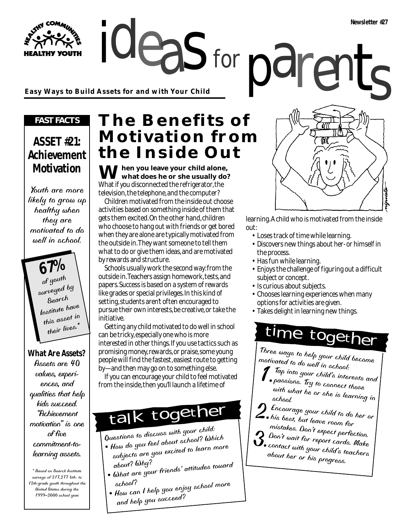for

**Easy Ways to Build Assets for and with Your Child**

#### *FAST FACTS*

### **ASSET #21: Achievement Motivation**

Youth are more likely to grow up healthy when they are motivated to do well in school.

**67%** of youth surveyed by Search Institute have this asset in their lives.

#### **What Are Assets?**

Assets are 40 values, experiences, and qualities that help kids succeed. "Achievement motivation" is one  $of$  five commitment-tolearning assets.

\* Based on Search Institute surveys of 217,277 6th- to 12th-grade youth throughout the United States during the 1999–2000 school year.

# **The Benefits of Motivation from the Inside Out**

**When you leave your child alone, what does he or she usually do?** What if you disconnected the refrigerator, the television, the telephone, and the computer?

Children motivated from the inside out choose activities based on something inside of them that gets them excited. On the other hand, children who choose to hang out with friends or get bored when they are alone are typically motivated from the outside in. They want someone to tell them what to do or give them ideas, and are motivated by rewards and structure.

Schools usually work the second way: from the outside in. Teachers assign homework, tests, and papers. Success is based on a system of rewards like grades or special privileges. In this kind of setting, students aren't often encouraged to pursue their own interests, be creative, or take the initiative.

Getting any child motivated to do well in school can be tricky, especially one who is more interested in other things. If you use tactics such as promising money, rewards, or praise, some young people will find the fastest, easiest route to getting by—and then may go on to something else.

If you can encourage your child to feel motivated from the inside, then you'll launch a lifetime of

# talk together

Questions to discuss with your child:

- How do you feel about school? Which subjects are you excited to learn more
- about? Why? • What are your friends' attitudes toward
- school? • How can I help you enjoy school more and help you succeed?



learning. A child who is motivated from the inside out:

- Loses track of time while learning.
- Discovers new things about her- or himself in the process.
- Has fun while learning.
- Enjoys the challenge of figuring out a difficult subject or concept.
- Is curious about subjects.
- Chooses learning experiences when many options for activities are given.
- Takes delight in learning new things.

# time together

Three ways to help your child become motivated to do well in school:

- 
- 1.Tap into your child's interests and  $\ell$  , the nois you. The connect those with what he or she is learning in school.
- echool.<br>**2. Encourage your child to do her or** *his best, but leave room for* 
	- mistakes. Don't expect perfection.
- 3.Don't wait for report cards. Make  $\mathbf 0$  contact with your child's teachers about her or his progress.